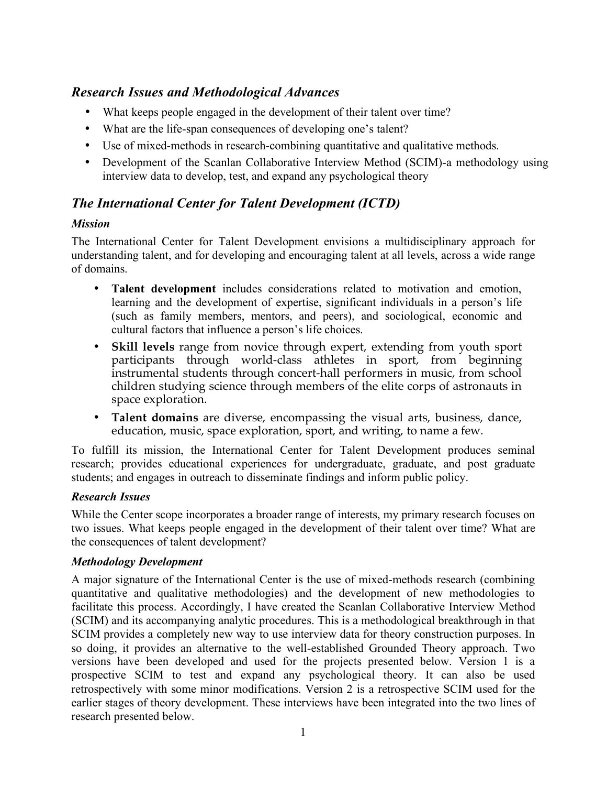# *Research Issues and Methodological Advances*

- What keeps people engaged in the development of their talent over time?
- What are the life-span consequences of developing one's talent?
- Use of mixed-methods in research-combining quantitative and qualitative methods.
- Development of the Scanlan Collaborative Interview Method (SCIM)-a methodology using interview data to develop, test, and expand any psychological theory

# *The International Center for Talent Development (ICTD)*

### *Mission*

The International Center for Talent Development envisions a multidisciplinary approach for understanding talent, and for developing and encouraging talent at all levels, across a wide range of domains.

- **Talent development** includes considerations related to motivation and emotion, learning and the development of expertise, significant individuals in a person's life (such as family members, mentors, and peers), and sociological, economic and cultural factors that influence a person's life choices.
- **Skill levels** range from novice through expert, extending from youth sport participants through world-class athletes in sport, from beginning instrumental students through concert-hall performers in music, from school children studying science through members of the elite corps of astronauts in space exploration.
- **Talent domains** are diverse, encompassing the visual arts, business, dance, education, music, space exploration, sport, and writing, to name a few.

To fulfill its mission, the International Center for Talent Development produces seminal research; provides educational experiences for undergraduate, graduate, and post graduate students; and engages in outreach to disseminate findings and inform public policy.

## *Research Issues*

While the Center scope incorporates a broader range of interests, my primary research focuses on two issues. What keeps people engaged in the development of their talent over time? What are the consequences of talent development?

#### *Methodology Development*

A major signature of the International Center is the use of mixed-methods research (combining quantitative and qualitative methodologies) and the development of new methodologies to facilitate this process. Accordingly, I have created the Scanlan Collaborative Interview Method (SCIM) and its accompanying analytic procedures. This is a methodological breakthrough in that SCIM provides a completely new way to use interview data for theory construction purposes. In so doing, it provides an alternative to the well-established Grounded Theory approach. Two versions have been developed and used for the projects presented below. Version 1 is a prospective SCIM to test and expand any psychological theory. It can also be used retrospectively with some minor modifications. Version 2 is a retrospective SCIM used for the earlier stages of theory development. These interviews have been integrated into the two lines of research presented below.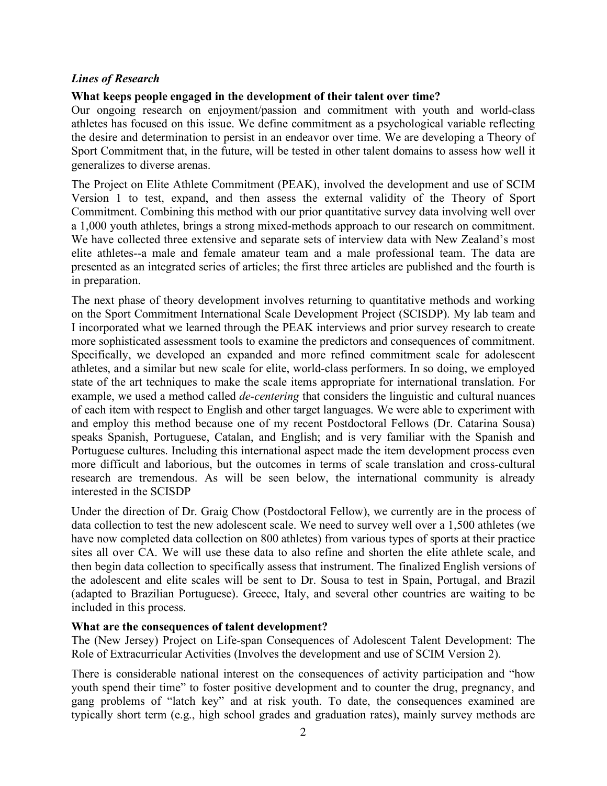#### *Lines of Research*

#### **What keeps people engaged in the development of their talent over time?**

Our ongoing research on enjoyment/passion and commitment with youth and world-class athletes has focused on this issue. We define commitment as a psychological variable reflecting the desire and determination to persist in an endeavor over time. We are developing a Theory of Sport Commitment that, in the future, will be tested in other talent domains to assess how well it generalizes to diverse arenas.

The Project on Elite Athlete Commitment (PEAK), involved the development and use of SCIM Version 1 to test, expand, and then assess the external validity of the Theory of Sport Commitment. Combining this method with our prior quantitative survey data involving well over a 1,000 youth athletes, brings a strong mixed-methods approach to our research on commitment. We have collected three extensive and separate sets of interview data with New Zealand's most elite athletes--a male and female amateur team and a male professional team. The data are presented as an integrated series of articles; the first three articles are published and the fourth is in preparation.

The next phase of theory development involves returning to quantitative methods and working on the Sport Commitment International Scale Development Project (SCISDP). My lab team and I incorporated what we learned through the PEAK interviews and prior survey research to create more sophisticated assessment tools to examine the predictors and consequences of commitment. Specifically, we developed an expanded and more refined commitment scale for adolescent athletes, and a similar but new scale for elite, world-class performers. In so doing, we employed state of the art techniques to make the scale items appropriate for international translation. For example, we used a method called *de-centering* that considers the linguistic and cultural nuances of each item with respect to English and other target languages. We were able to experiment with and employ this method because one of my recent Postdoctoral Fellows (Dr. Catarina Sousa) speaks Spanish, Portuguese, Catalan, and English; and is very familiar with the Spanish and Portuguese cultures. Including this international aspect made the item development process even more difficult and laborious, but the outcomes in terms of scale translation and cross-cultural research are tremendous. As will be seen below, the international community is already interested in the SCISDP

Under the direction of Dr. Graig Chow (Postdoctoral Fellow), we currently are in the process of data collection to test the new adolescent scale. We need to survey well over a 1,500 athletes (we have now completed data collection on 800 athletes) from various types of sports at their practice sites all over CA. We will use these data to also refine and shorten the elite athlete scale, and then begin data collection to specifically assess that instrument. The finalized English versions of the adolescent and elite scales will be sent to Dr. Sousa to test in Spain, Portugal, and Brazil (adapted to Brazilian Portuguese). Greece, Italy, and several other countries are waiting to be included in this process.

#### **What are the consequences of talent development?**

The (New Jersey) Project on Life-span Consequences of Adolescent Talent Development: The Role of Extracurricular Activities (Involves the development and use of SCIM Version 2).

There is considerable national interest on the consequences of activity participation and "how youth spend their time" to foster positive development and to counter the drug, pregnancy, and gang problems of "latch key" and at risk youth. To date, the consequences examined are typically short term (e.g., high school grades and graduation rates), mainly survey methods are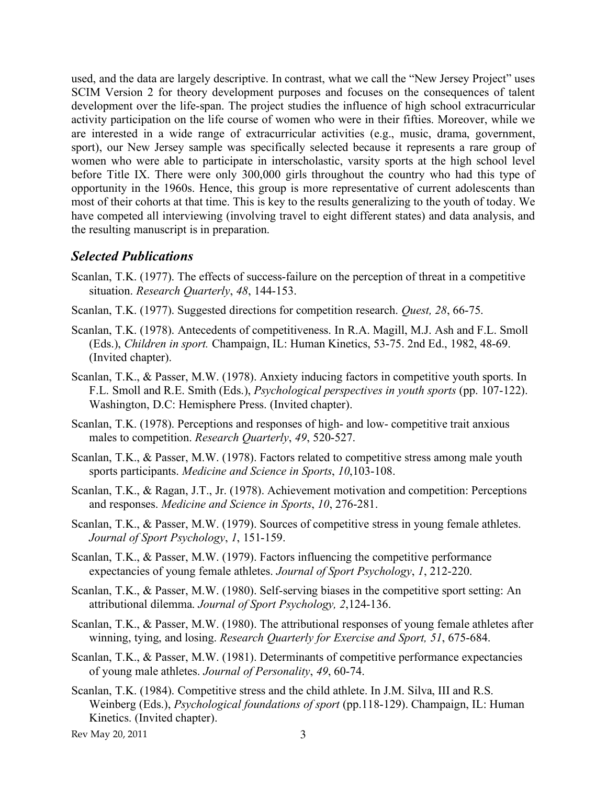used, and the data are largely descriptive. In contrast, what we call the "New Jersey Project" uses SCIM Version 2 for theory development purposes and focuses on the consequences of talent development over the life-span. The project studies the influence of high school extracurricular activity participation on the life course of women who were in their fifties. Moreover, while we are interested in a wide range of extracurricular activities (e.g., music, drama, government, sport), our New Jersey sample was specifically selected because it represents a rare group of women who were able to participate in interscholastic, varsity sports at the high school level before Title IX. There were only 300,000 girls throughout the country who had this type of opportunity in the 1960s. Hence, this group is more representative of current adolescents than most of their cohorts at that time. This is key to the results generalizing to the youth of today. We have competed all interviewing (involving travel to eight different states) and data analysis, and the resulting manuscript is in preparation.

## *Selected Publications*

- Scanlan, T.K. (1977). The effects of success-failure on the perception of threat in a competitive situation. *Research Quarterly*, *48*, 144-153.
- Scanlan, T.K. (1977). Suggested directions for competition research. *Quest, 28*, 66-75.
- Scanlan, T.K. (1978). Antecedents of competitiveness. In R.A. Magill, M.J. Ash and F.L. Smoll (Eds.), *Children in sport.* Champaign, IL: Human Kinetics, 53-75. 2nd Ed., 1982, 48-69. (Invited chapter).
- Scanlan, T.K., & Passer, M.W. (1978). Anxiety inducing factors in competitive youth sports. In F.L. Smoll and R.E. Smith (Eds.), *Psychological perspectives in youth sports* (pp. 107-122). Washington, D.C: Hemisphere Press. (Invited chapter).
- Scanlan, T.K. (1978). Perceptions and responses of high- and low- competitive trait anxious males to competition. *Research Quarterly*, *49*, 520-527.
- Scanlan, T.K., & Passer, M.W. (1978). Factors related to competitive stress among male youth sports participants. *Medicine and Science in Sports*, *10*,103-108.
- Scanlan, T.K., & Ragan, J.T., Jr. (1978). Achievement motivation and competition: Perceptions and responses. *Medicine and Science in Sports*, *10*, 276-281.
- Scanlan, T.K., & Passer, M.W. (1979). Sources of competitive stress in young female athletes. *Journal of Sport Psychology*, *1*, 151-159.
- Scanlan, T.K., & Passer, M.W. (1979). Factors influencing the competitive performance expectancies of young female athletes. *Journal of Sport Psychology*, *1*, 212-220.
- Scanlan, T.K., & Passer, M.W. (1980). Self-serving biases in the competitive sport setting: An attributional dilemma. *Journal of Sport Psychology, 2*,124-136.
- Scanlan, T.K., & Passer, M.W. (1980). The attributional responses of young female athletes after winning, tying, and losing. *Research Quarterly for Exercise and Sport, 51*, 675-684.
- Scanlan, T.K., & Passer, M.W. (1981). Determinants of competitive performance expectancies of young male athletes. *Journal of Personality*, *49*, 60-74.
- Scanlan, T.K. (1984). Competitive stress and the child athlete. In J.M. Silva, III and R.S. Weinberg (Eds.), *Psychological foundations of sport* (pp.118-129). Champaign, IL: Human Kinetics. (Invited chapter).

Rev May 20, 2011 3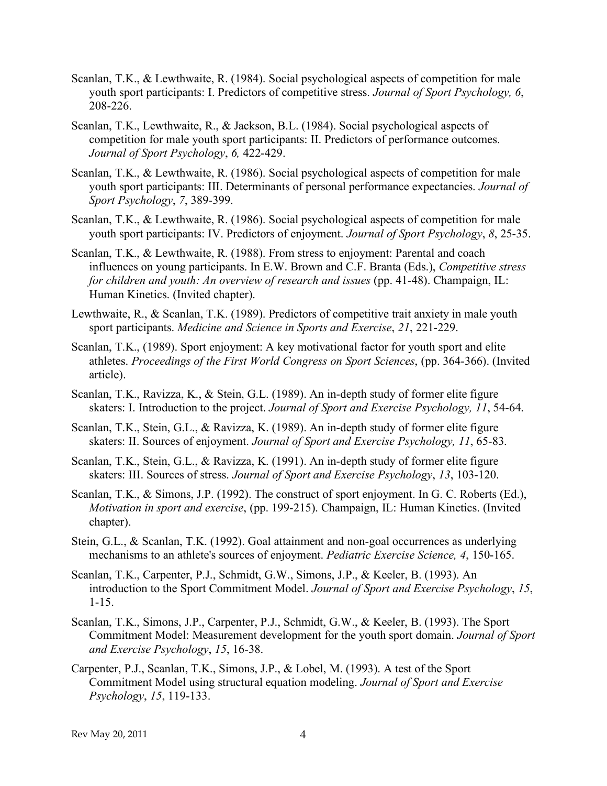- Scanlan, T.K., & Lewthwaite, R. (1984). Social psychological aspects of competition for male youth sport participants: I. Predictors of competitive stress. *Journal of Sport Psychology, 6*, 208-226.
- Scanlan, T.K., Lewthwaite, R., & Jackson, B.L. (1984). Social psychological aspects of competition for male youth sport participants: II. Predictors of performance outcomes. *Journal of Sport Psychology*, *6,* 422-429.
- Scanlan, T.K., & Lewthwaite, R. (1986). Social psychological aspects of competition for male youth sport participants: III. Determinants of personal performance expectancies. *Journal of Sport Psychology*, *7*, 389-399.
- Scanlan, T.K., & Lewthwaite, R. (1986). Social psychological aspects of competition for male youth sport participants: IV. Predictors of enjoyment. *Journal of Sport Psychology*, *8*, 25-35.
- Scanlan, T.K., & Lewthwaite, R. (1988). From stress to enjoyment: Parental and coach influences on young participants. In E.W. Brown and C.F. Branta (Eds.), *Competitive stress for children and youth: An overview of research and issues* (pp. 41-48). Champaign, IL: Human Kinetics. (Invited chapter).
- Lewthwaite, R., & Scanlan, T.K. (1989). Predictors of competitive trait anxiety in male youth sport participants. *Medicine and Science in Sports and Exercise*, *21*, 221-229.
- Scanlan, T.K., (1989). Sport enjoyment: A key motivational factor for youth sport and elite athletes. *Proceedings of the First World Congress on Sport Sciences*, (pp. 364-366). (Invited article).
- Scanlan, T.K., Ravizza, K., & Stein, G.L. (1989). An in-depth study of former elite figure skaters: I. Introduction to the project. *Journal of Sport and Exercise Psychology, 11*, 54-64.
- Scanlan, T.K., Stein, G.L., & Ravizza, K. (1989). An in-depth study of former elite figure skaters: II. Sources of enjoyment. *Journal of Sport and Exercise Psychology, 11*, 65-83.
- Scanlan, T.K., Stein, G.L., & Ravizza, K. (1991). An in-depth study of former elite figure skaters: III. Sources of stress. *Journal of Sport and Exercise Psychology*, *13*, 103-120.
- Scanlan, T.K., & Simons, J.P. (1992). The construct of sport enjoyment. In G. C. Roberts (Ed.), *Motivation in sport and exercise*, (pp. 199-215). Champaign, IL: Human Kinetics. (Invited chapter).
- Stein, G.L., & Scanlan, T.K. (1992). Goal attainment and non-goal occurrences as underlying mechanisms to an athlete's sources of enjoyment. *Pediatric Exercise Science, 4*, 150-165.
- Scanlan, T.K., Carpenter, P.J., Schmidt, G.W., Simons, J.P., & Keeler, B. (1993). An introduction to the Sport Commitment Model. *Journal of Sport and Exercise Psychology*, *15*, 1-15.
- Scanlan, T.K., Simons, J.P., Carpenter, P.J., Schmidt, G.W., & Keeler, B. (1993). The Sport Commitment Model: Measurement development for the youth sport domain. *Journal of Sport and Exercise Psychology*, *15*, 16-38.
- Carpenter, P.J., Scanlan, T.K., Simons, J.P., & Lobel, M. (1993). A test of the Sport Commitment Model using structural equation modeling. *Journal of Sport and Exercise Psychology*, *15*, 119-133.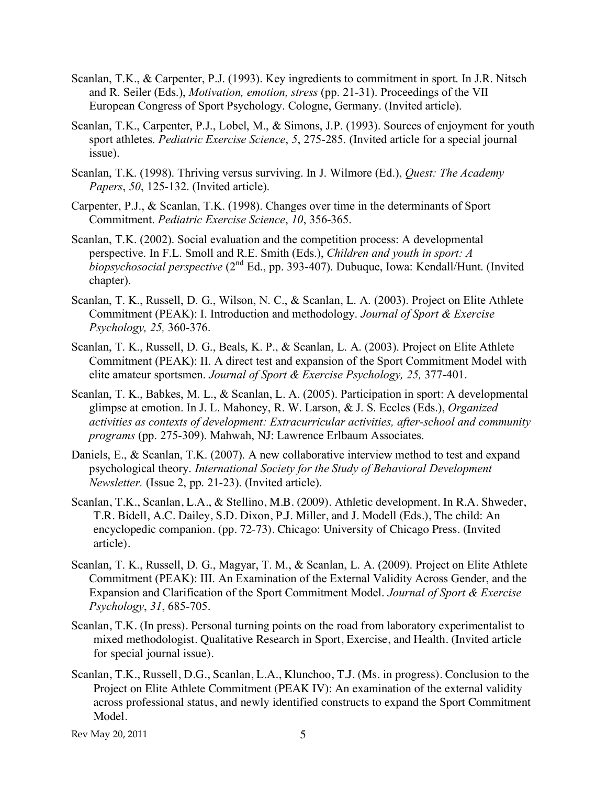- Scanlan, T.K., & Carpenter, P.J. (1993). Key ingredients to commitment in sport. In J.R. Nitsch and R. Seiler (Eds.), *Motivation, emotion, stress* (pp. 21-31). Proceedings of the VII European Congress of Sport Psychology. Cologne, Germany. (Invited article).
- Scanlan, T.K., Carpenter, P.J., Lobel, M., & Simons, J.P. (1993). Sources of enjoyment for youth sport athletes. *Pediatric Exercise Science*, *5*, 275-285. (Invited article for a special journal issue).
- Scanlan, T.K. (1998). Thriving versus surviving. In J. Wilmore (Ed.), *Quest: The Academy Papers*, *50*, 125-132. (Invited article).
- Carpenter, P.J., & Scanlan, T.K. (1998). Changes over time in the determinants of Sport Commitment. *Pediatric Exercise Science*, *10*, 356-365.
- Scanlan, T.K. (2002). Social evaluation and the competition process: A developmental perspective. In F.L. Smoll and R.E. Smith (Eds.), *Children and youth in sport: A biopsychosocial perspective* (2nd Ed., pp. 393-407). Dubuque, Iowa: Kendall/Hunt. (Invited chapter).
- Scanlan, T. K., Russell, D. G., Wilson, N. C., & Scanlan, L. A. (2003). Project on Elite Athlete Commitment (PEAK): I. Introduction and methodology. *Journal of Sport & Exercise Psychology, 25,* 360-376.
- Scanlan, T. K., Russell, D. G., Beals, K. P., & Scanlan, L. A. (2003). Project on Elite Athlete Commitment (PEAK): II. A direct test and expansion of the Sport Commitment Model with elite amateur sportsmen. *Journal of Sport & Exercise Psychology, 25,* 377-401.
- Scanlan, T. K., Babkes, M. L., & Scanlan, L. A. (2005). Participation in sport: A developmental glimpse at emotion. In J. L. Mahoney, R. W. Larson, & J. S. Eccles (Eds.), *Organized activities as contexts of development: Extracurricular activities, after-school and community programs* (pp. 275-309). Mahwah, NJ: Lawrence Erlbaum Associates.
- Daniels, E., & Scanlan, T.K. (2007). A new collaborative interview method to test and expand psychological theory. *International Society for the Study of Behavioral Development Newsletter.* (Issue 2, pp. 21-23). (Invited article).
- Scanlan, T.K., Scanlan, L.A., & Stellino, M.B. (2009). Athletic development. In R.A. Shweder, T.R. Bidell, A.C. Dailey, S.D. Dixon, P.J. Miller, and J. Modell (Eds.), The child: An encyclopedic companion. (pp. 72-73). Chicago: University of Chicago Press. (Invited article).
- Scanlan, T. K., Russell, D. G., Magyar, T. M., & Scanlan, L. A. (2009). Project on Elite Athlete Commitment (PEAK): III. An Examination of the External Validity Across Gender, and the Expansion and Clarification of the Sport Commitment Model. *Journal of Sport & Exercise Psychology*, *31*, 685-705.
- Scanlan, T.K. (In press). Personal turning points on the road from laboratory experimentalist to mixed methodologist. Qualitative Research in Sport, Exercise, and Health. (Invited article for special journal issue).
- Scanlan, T.K., Russell, D.G., Scanlan, L.A., Klunchoo, T.J. (Ms. in progress). Conclusion to the Project on Elite Athlete Commitment (PEAK IV): An examination of the external validity across professional status, and newly identified constructs to expand the Sport Commitment Model.

Rev May 20, 2011 5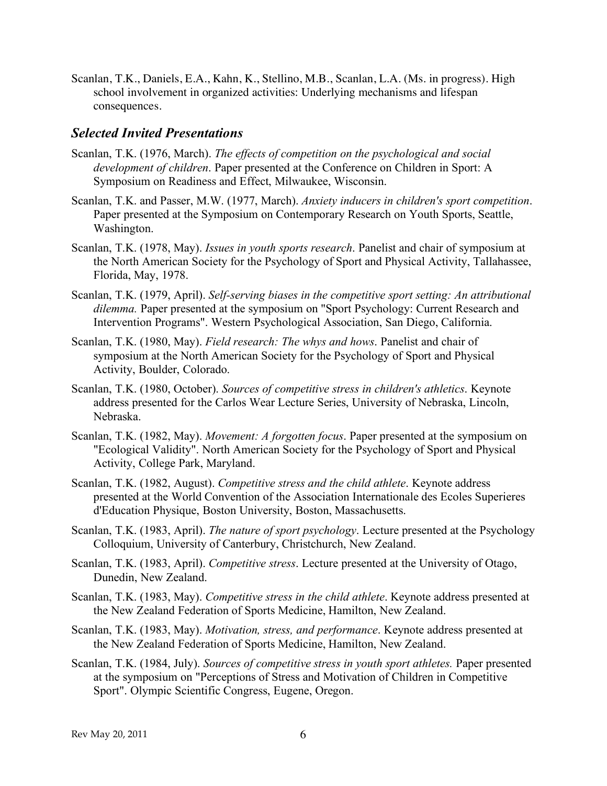Scanlan, T.K., Daniels, E.A., Kahn, K., Stellino, M.B., Scanlan, L.A. (Ms. in progress). High school involvement in organized activities: Underlying mechanisms and lifespan consequences.

### *Selected Invited Presentations*

- Scanlan, T.K. (1976, March). *The effects of competition on the psychological and social development of children*. Paper presented at the Conference on Children in Sport: A Symposium on Readiness and Effect, Milwaukee, Wisconsin.
- Scanlan, T.K. and Passer, M.W. (1977, March). *Anxiety inducers in children's sport competition*. Paper presented at the Symposium on Contemporary Research on Youth Sports, Seattle, Washington.
- Scanlan, T.K. (1978, May). *Issues in youth sports research*. Panelist and chair of symposium at the North American Society for the Psychology of Sport and Physical Activity, Tallahassee, Florida, May, 1978.
- Scanlan, T.K. (1979, April). *Self-serving biases in the competitive sport setting: An attributional dilemma.* Paper presented at the symposium on "Sport Psychology: Current Research and Intervention Programs". Western Psychological Association, San Diego, California.
- Scanlan, T.K. (1980, May). *Field research: The whys and hows*. Panelist and chair of symposium at the North American Society for the Psychology of Sport and Physical Activity, Boulder, Colorado.
- Scanlan, T.K. (1980, October). *Sources of competitive stress in children's athletics*. Keynote address presented for the Carlos Wear Lecture Series, University of Nebraska, Lincoln, Nebraska.
- Scanlan, T.K. (1982, May). *Movement: A forgotten focus*. Paper presented at the symposium on "Ecological Validity". North American Society for the Psychology of Sport and Physical Activity, College Park, Maryland.
- Scanlan, T.K. (1982, August). *Competitive stress and the child athlete*. Keynote address presented at the World Convention of the Association Internationale des Ecoles Superieres d'Education Physique, Boston University, Boston, Massachusetts.
- Scanlan, T.K. (1983, April). *The nature of sport psychology*. Lecture presented at the Psychology Colloquium, University of Canterbury, Christchurch, New Zealand.
- Scanlan, T.K. (1983, April). *Competitive stress*. Lecture presented at the University of Otago, Dunedin, New Zealand.
- Scanlan, T.K. (1983, May). *Competitive stress in the child athlete*. Keynote address presented at the New Zealand Federation of Sports Medicine, Hamilton, New Zealand.
- Scanlan, T.K. (1983, May). *Motivation, stress, and performance*. Keynote address presented at the New Zealand Federation of Sports Medicine, Hamilton, New Zealand.
- Scanlan, T.K. (1984, July). *Sources of competitive stress in youth sport athletes.* Paper presented at the symposium on "Perceptions of Stress and Motivation of Children in Competitive Sport". Olympic Scientific Congress, Eugene, Oregon.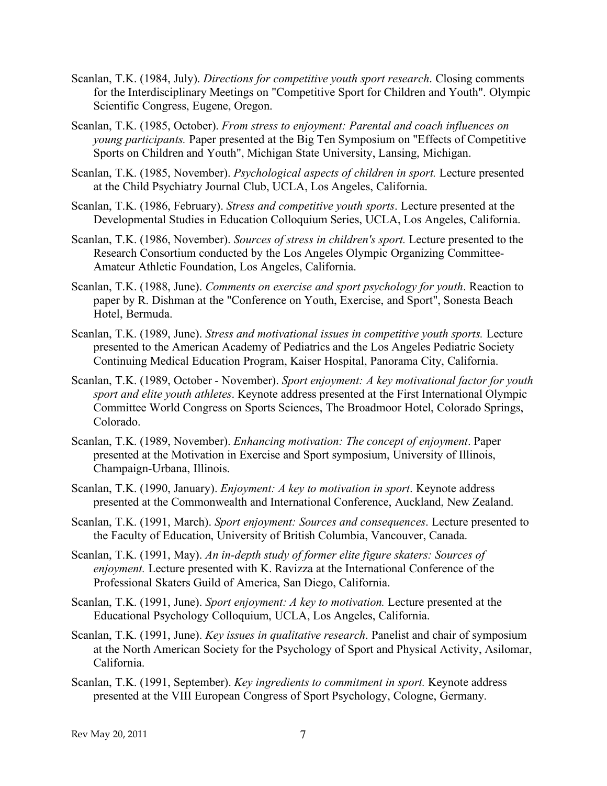- Scanlan, T.K. (1984, July). *Directions for competitive youth sport research*. Closing comments for the Interdisciplinary Meetings on "Competitive Sport for Children and Youth". Olympic Scientific Congress, Eugene, Oregon.
- Scanlan, T.K. (1985, October). *From stress to enjoyment: Parental and coach influences on young participants.* Paper presented at the Big Ten Symposium on "Effects of Competitive Sports on Children and Youth", Michigan State University, Lansing, Michigan.
- Scanlan, T.K. (1985, November). *Psychological aspects of children in sport.* Lecture presented at the Child Psychiatry Journal Club, UCLA, Los Angeles, California.
- Scanlan, T.K. (1986, February). *Stress and competitive youth sports*. Lecture presented at the Developmental Studies in Education Colloquium Series, UCLA, Los Angeles, California.
- Scanlan, T.K. (1986, November). *Sources of stress in children's sport.* Lecture presented to the Research Consortium conducted by the Los Angeles Olympic Organizing Committee-Amateur Athletic Foundation, Los Angeles, California.
- Scanlan, T.K. (1988, June). *Comments on exercise and sport psychology for youth*. Reaction to paper by R. Dishman at the "Conference on Youth, Exercise, and Sport", Sonesta Beach Hotel, Bermuda.
- Scanlan, T.K. (1989, June). *Stress and motivational issues in competitive youth sports.* Lecture presented to the American Academy of Pediatrics and the Los Angeles Pediatric Society Continuing Medical Education Program, Kaiser Hospital, Panorama City, California.
- Scanlan, T.K. (1989, October November). *Sport enjoyment: A key motivational factor for youth sport and elite youth athletes*. Keynote address presented at the First International Olympic Committee World Congress on Sports Sciences, The Broadmoor Hotel, Colorado Springs, Colorado.
- Scanlan, T.K. (1989, November). *Enhancing motivation: The concept of enjoyment*. Paper presented at the Motivation in Exercise and Sport symposium, University of Illinois, Champaign-Urbana, Illinois.
- Scanlan, T.K. (1990, January). *Enjoyment: A key to motivation in sport*. Keynote address presented at the Commonwealth and International Conference, Auckland, New Zealand.
- Scanlan, T.K. (1991, March). *Sport enjoyment: Sources and consequences*. Lecture presented to the Faculty of Education, University of British Columbia, Vancouver, Canada.
- Scanlan, T.K. (1991, May). *An in-depth study of former elite figure skaters: Sources of enjoyment.* Lecture presented with K. Ravizza at the International Conference of the Professional Skaters Guild of America, San Diego, California.
- Scanlan, T.K. (1991, June). *Sport enjoyment: A key to motivation.* Lecture presented at the Educational Psychology Colloquium, UCLA, Los Angeles, California.
- Scanlan, T.K. (1991, June). *Key issues in qualitative research*. Panelist and chair of symposium at the North American Society for the Psychology of Sport and Physical Activity, Asilomar, California.
- Scanlan, T.K. (1991, September). *Key ingredients to commitment in sport.* Keynote address presented at the VIII European Congress of Sport Psychology, Cologne, Germany.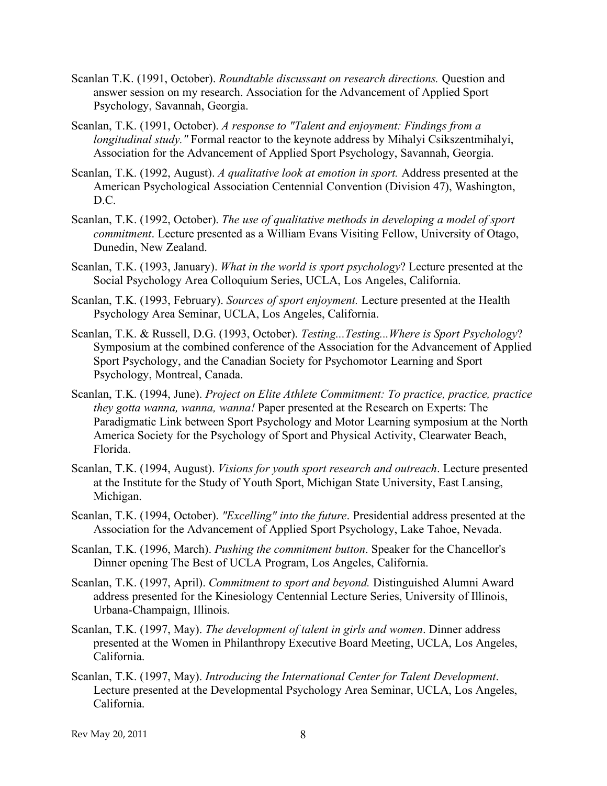- Scanlan T.K. (1991, October). *Roundtable discussant on research directions.* Question and answer session on my research. Association for the Advancement of Applied Sport Psychology, Savannah, Georgia.
- Scanlan, T.K. (1991, October). *A response to "Talent and enjoyment: Findings from a longitudinal study.*" Formal reactor to the keynote address by Mihalyi Csikszentmihalyi, Association for the Advancement of Applied Sport Psychology, Savannah, Georgia.
- Scanlan, T.K. (1992, August). *A qualitative look at emotion in sport.* Address presented at the American Psychological Association Centennial Convention (Division 47), Washington, D.C.
- Scanlan, T.K. (1992, October). *The use of qualitative methods in developing a model of sport commitment*. Lecture presented as a William Evans Visiting Fellow, University of Otago, Dunedin, New Zealand.
- Scanlan, T.K. (1993, January). *What in the world is sport psychology*? Lecture presented at the Social Psychology Area Colloquium Series, UCLA, Los Angeles, California.
- Scanlan, T.K. (1993, February). *Sources of sport enjoyment.* Lecture presented at the Health Psychology Area Seminar, UCLA, Los Angeles, California.
- Scanlan, T.K. & Russell, D.G. (1993, October). *Testing...Testing...Where is Sport Psychology*? Symposium at the combined conference of the Association for the Advancement of Applied Sport Psychology, and the Canadian Society for Psychomotor Learning and Sport Psychology, Montreal, Canada.
- Scanlan, T.K. (1994, June). *Project on Elite Athlete Commitment: To practice, practice, practice they gotta wanna, wanna, wanna!* Paper presented at the Research on Experts: The Paradigmatic Link between Sport Psychology and Motor Learning symposium at the North America Society for the Psychology of Sport and Physical Activity, Clearwater Beach, Florida.
- Scanlan, T.K. (1994, August). *Visions for youth sport research and outreach*. Lecture presented at the Institute for the Study of Youth Sport, Michigan State University, East Lansing, Michigan.
- Scanlan, T.K. (1994, October). *"Excelling" into the future*. Presidential address presented at the Association for the Advancement of Applied Sport Psychology, Lake Tahoe, Nevada.
- Scanlan, T.K. (1996, March). *Pushing the commitment button*. Speaker for the Chancellor's Dinner opening The Best of UCLA Program, Los Angeles, California.
- Scanlan, T.K. (1997, April). *Commitment to sport and beyond.* Distinguished Alumni Award address presented for the Kinesiology Centennial Lecture Series, University of Illinois, Urbana-Champaign, Illinois.
- Scanlan, T.K. (1997, May). *The development of talent in girls and women*. Dinner address presented at the Women in Philanthropy Executive Board Meeting, UCLA, Los Angeles, California.
- Scanlan, T.K. (1997, May). *Introducing the International Center for Talent Development*. Lecture presented at the Developmental Psychology Area Seminar, UCLA, Los Angeles, California.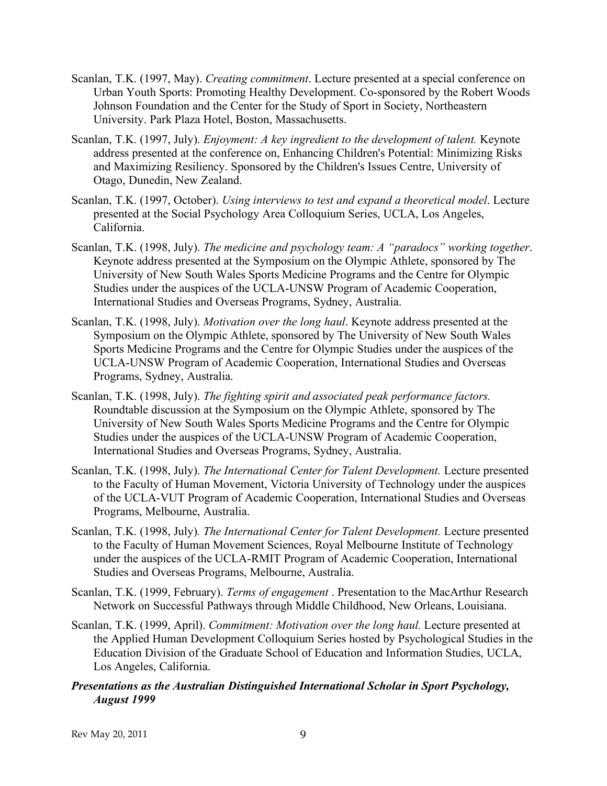- Scanlan, T.K. (1997, May). *Creating commitment*. Lecture presented at a special conference on Urban Youth Sports: Promoting Healthy Development. Co-sponsored by the Robert Woods Johnson Foundation and the Center for the Study of Sport in Society, Northeastern University. Park Plaza Hotel, Boston, Massachusetts.
- Scanlan, T.K. (1997, July). *Enjoyment: A key ingredient to the development of talent.* Keynote address presented at the conference on, Enhancing Children's Potential: Minimizing Risks and Maximizing Resiliency. Sponsored by the Children's Issues Centre, University of Otago, Dunedin, New Zealand.
- Scanlan, T.K. (1997, October). *Using interviews to test and expand a theoretical model*. Lecture presented at the Social Psychology Area Colloquium Series, UCLA, Los Angeles, California.
- Scanlan, T.K. (1998, July). *The medicine and psychology team: A "paradocs" working together*. Keynote address presented at the Symposium on the Olympic Athlete, sponsored by The University of New South Wales Sports Medicine Programs and the Centre for Olympic Studies under the auspices of the UCLA-UNSW Program of Academic Cooperation, International Studies and Overseas Programs, Sydney, Australia.
- Scanlan, T.K. (1998, July). *Motivation over the long haul*. Keynote address presented at the Symposium on the Olympic Athlete, sponsored by The University of New South Wales Sports Medicine Programs and the Centre for Olympic Studies under the auspices of the UCLA-UNSW Program of Academic Cooperation, International Studies and Overseas Programs, Sydney, Australia.
- Scanlan, T.K. (1998, July). *The fighting spirit and associated peak performance factors.* Roundtable discussion at the Symposium on the Olympic Athlete, sponsored by The University of New South Wales Sports Medicine Programs and the Centre for Olympic Studies under the auspices of the UCLA-UNSW Program of Academic Cooperation, International Studies and Overseas Programs, Sydney, Australia.
- Scanlan, T.K. (1998, July). *The International Center for Talent Development.* Lecture presented to the Faculty of Human Movement, Victoria University of Technology under the auspices of the UCLA-VUT Program of Academic Cooperation, International Studies and Overseas Programs, Melbourne, Australia.
- Scanlan, T.K. (1998, July)*. The International Center for Talent Development.* Lecture presented to the Faculty of Human Movement Sciences, Royal Melbourne Institute of Technology under the auspices of the UCLA-RMIT Program of Academic Cooperation, International Studies and Overseas Programs, Melbourne, Australia.
- Scanlan, T.K. (1999, February). *Terms of engagement* . Presentation to the MacArthur Research Network on Successful Pathways through Middle Childhood, New Orleans, Louisiana.
- Scanlan, T.K. (1999, April). *Commitment: Motivation over the long haul.* Lecture presented at the Applied Human Development Colloquium Series hosted by Psychological Studies in the Education Division of the Graduate School of Education and Information Studies, UCLA, Los Angeles, California.
- *Presentations as the Australian Distinguished International Scholar in Sport Psychology, August 1999*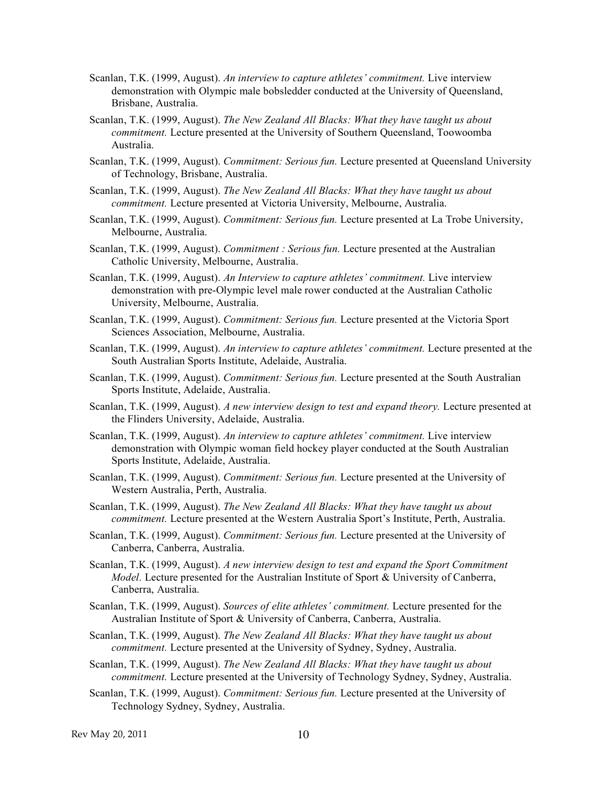- Scanlan, T.K. (1999, August). *An interview to capture athletes' commitment.* Live interview demonstration with Olympic male bobsledder conducted at the University of Queensland, Brisbane, Australia.
- Scanlan, T.K. (1999, August). *The New Zealand All Blacks: What they have taught us about commitment.* Lecture presented at the University of Southern Queensland, Toowoomba Australia.
- Scanlan, T.K. (1999, August). *Commitment: Serious fun.* Lecture presented at Queensland University of Technology, Brisbane, Australia.
- Scanlan, T.K. (1999, August). *The New Zealand All Blacks: What they have taught us about commitment.* Lecture presented at Victoria University, Melbourne, Australia.
- Scanlan, T.K. (1999, August). *Commitment: Serious fun.* Lecture presented at La Trobe University, Melbourne, Australia.
- Scanlan, T.K. (1999, August). *Commitment : Serious fun.* Lecture presented at the Australian Catholic University, Melbourne, Australia.
- Scanlan, T.K. (1999, August). *An Interview to capture athletes' commitment.* Live interview demonstration with pre-Olympic level male rower conducted at the Australian Catholic University, Melbourne, Australia.
- Scanlan, T.K. (1999, August). *Commitment: Serious fun.* Lecture presented at the Victoria Sport Sciences Association, Melbourne, Australia.
- Scanlan, T.K. (1999, August). *An interview to capture athletes' commitment.* Lecture presented at the South Australian Sports Institute, Adelaide, Australia.
- Scanlan, T.K. (1999, August). *Commitment: Serious fun.* Lecture presented at the South Australian Sports Institute, Adelaide, Australia.
- Scanlan, T.K. (1999, August). *A new interview design to test and expand theory.* Lecture presented at the Flinders University, Adelaide, Australia.
- Scanlan, T.K. (1999, August). *An interview to capture athletes' commitment.* Live interview demonstration with Olympic woman field hockey player conducted at the South Australian Sports Institute, Adelaide, Australia.
- Scanlan, T.K. (1999, August). *Commitment: Serious fun.* Lecture presented at the University of Western Australia, Perth, Australia.
- Scanlan, T.K. (1999, August). *The New Zealand All Blacks: What they have taught us about commitment.* Lecture presented at the Western Australia Sport's Institute, Perth, Australia.
- Scanlan, T.K. (1999, August). *Commitment: Serious fun.* Lecture presented at the University of Canberra, Canberra, Australia.
- Scanlan, T.K. (1999, August). *A new interview design to test and expand the Sport Commitment Model.* Lecture presented for the Australian Institute of Sport & University of Canberra, Canberra, Australia.
- Scanlan, T.K. (1999, August). *Sources of elite athletes' commitment.* Lecture presented for the Australian Institute of Sport & University of Canberra, Canberra, Australia.
- Scanlan, T.K. (1999, August). *The New Zealand All Blacks: What they have taught us about commitment.* Lecture presented at the University of Sydney, Sydney, Australia.
- Scanlan, T.K. (1999, August). *The New Zealand All Blacks: What they have taught us about commitment.* Lecture presented at the University of Technology Sydney, Sydney, Australia.
- Scanlan, T.K. (1999, August). *Commitment: Serious fun.* Lecture presented at the University of Technology Sydney, Sydney, Australia.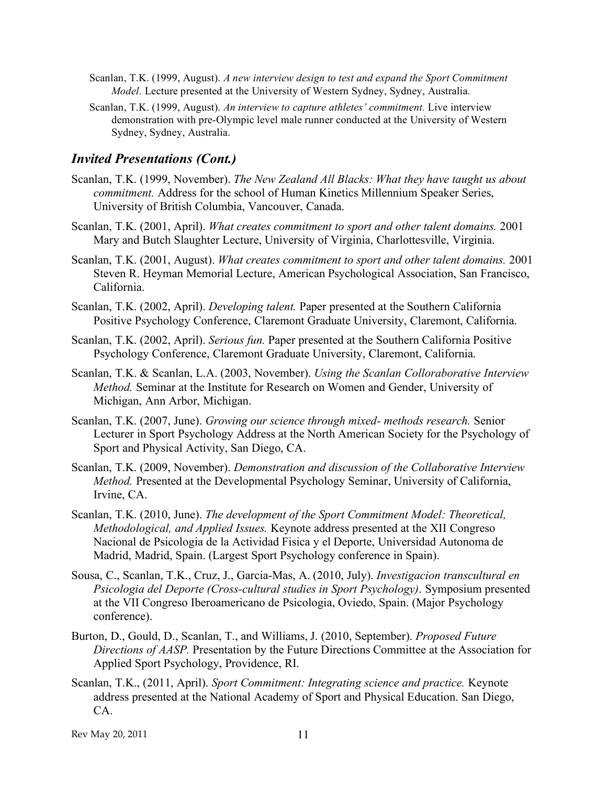- Scanlan, T.K. (1999, August). *A new interview design to test and expand the Sport Commitment Model.* Lecture presented at the University of Western Sydney, Sydney, Australia.
- Scanlan, T.K. (1999, August). *An interview to capture athletes' commitment.* Live interview demonstration with pre-Olympic level male runner conducted at the University of Western Sydney, Sydney, Australia.

#### *Invited Presentations (Cont.)*

- Scanlan, T.K. (1999, November). *The New Zealand All Blacks: What they have taught us about commitment.* Address for the school of Human Kinetics Millennium Speaker Series, University of British Columbia, Vancouver, Canada.
- Scanlan, T.K. (2001, April). *What creates commitment to sport and other talent domains.* 2001 Mary and Butch Slaughter Lecture, University of Virginia, Charlottesville, Virginia.
- Scanlan, T.K. (2001, August). *What creates commitment to sport and other talent domains.* 2001 Steven R. Heyman Memorial Lecture, American Psychological Association, San Francisco, California.
- Scanlan, T.K. (2002, April). *Developing talent.* Paper presented at the Southern California Positive Psychology Conference, Claremont Graduate University, Claremont, California.
- Scanlan, T.K. (2002, April). *Serious fun.* Paper presented at the Southern California Positive Psychology Conference, Claremont Graduate University, Claremont, California.
- Scanlan, T.K. & Scanlan, L.A. (2003, November). *Using the Scanlan Colloraborative Interview Method.* Seminar at the Institute for Research on Women and Gender, University of Michigan, Ann Arbor, Michigan.
- Scanlan, T.K. (2007, June). *Growing our science through mixed- methods research.* Senior Lecturer in Sport Psychology Address at the North American Society for the Psychology of Sport and Physical Activity, San Diego, CA.
- Scanlan, T.K. (2009, November). *Demonstration and discussion of the Collaborative Interview Method.* Presented at the Developmental Psychology Seminar, University of California, Irvine, CA.
- Scanlan, T.K. (2010, June). *The development of the Sport Commitment Model: Theoretical, Methodological, and Applied Issues.* Keynote address presented at the XII Congreso Nacional de Psicologia de la Actividad Fisica y el Deporte, Universidad Autonoma de Madrid, Madrid, Spain. (Largest Sport Psychology conference in Spain).
- Sousa, C., Scanlan, T.K., Cruz, J., Garcia-Mas, A. (2010, July). *Investigacion transcultural en Psicologia del Deporte (Cross-cultural studies in Sport Psychology)*. Symposium presented at the VII Congreso Iberoamericano de Psicologia, Oviedo, Spain. (Major Psychology conference).
- Burton, D., Gould, D., Scanlan, T., and Williams, J. (2010, September). *Proposed Future Directions of AASP.* Presentation by the Future Directions Committee at the Association for Applied Sport Psychology, Providence, RI.
- Scanlan, T.K., (2011, April). *Sport Commitment: Integrating science and practice.* Keynote address presented at the National Academy of Sport and Physical Education. San Diego, CA.

Rev May 20, 2011 11